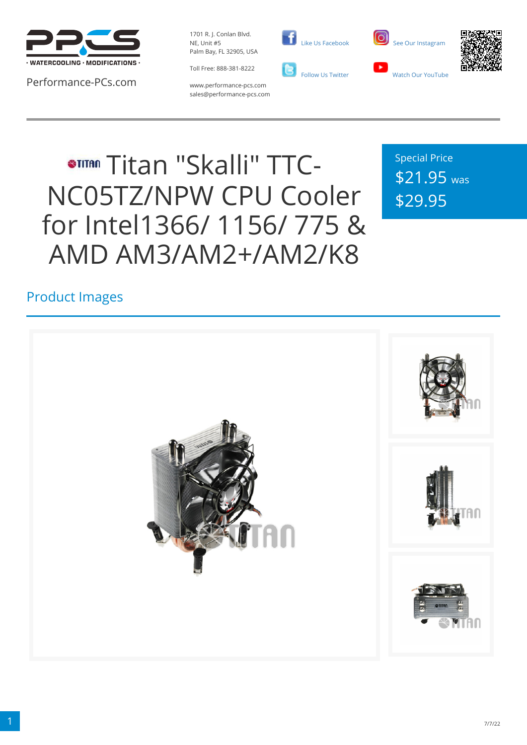

Performance-PCs.com

1701 R. J. Conlan Blvd. NE, Unit #5 Palm Bay, FL 32905, USA

Toll Free: 888-381-8222





www.performance-pcs.com sales@performance-pcs.com

# **STITAN Titan "Skalli" TTC-**NC05TZ/NPW CPU Cooler for Intel1366/ 1156/ 775 & AMD AM3/AM2+/AM2/K8

Special Price \$21.95 was \$29.95

### Product Images

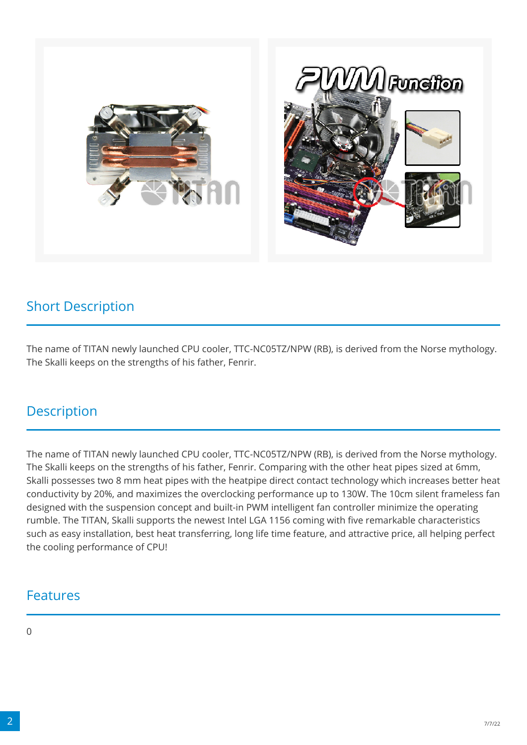

#### Short Description

The name of TITAN newly launched CPU cooler, TTC-NC05TZ/NPW (RB), is derived from the Norse mythology. The Skalli keeps on the strengths of his father, Fenrir.

#### **Description**

The name of TITAN newly launched CPU cooler, TTC-NC05TZ/NPW (RB), is derived from the Norse mythology. The Skalli keeps on the strengths of his father, Fenrir. Comparing with the other heat pipes sized at 6mm, Skalli possesses two 8 mm heat pipes with the heatpipe direct contact technology which increases better heat conductivity by 20%, and maximizes the overclocking performance up to 130W. The 10cm silent frameless fan designed with the suspension concept and built-in PWM intelligent fan controller minimize the operating rumble. The TITAN, Skalli supports the newest Intel LGA 1156 coming with five remarkable characteristics such as easy installation, best heat transferring, long life time feature, and attractive price, all helping perfect the cooling performance of CPU!

#### Features

 $\Omega$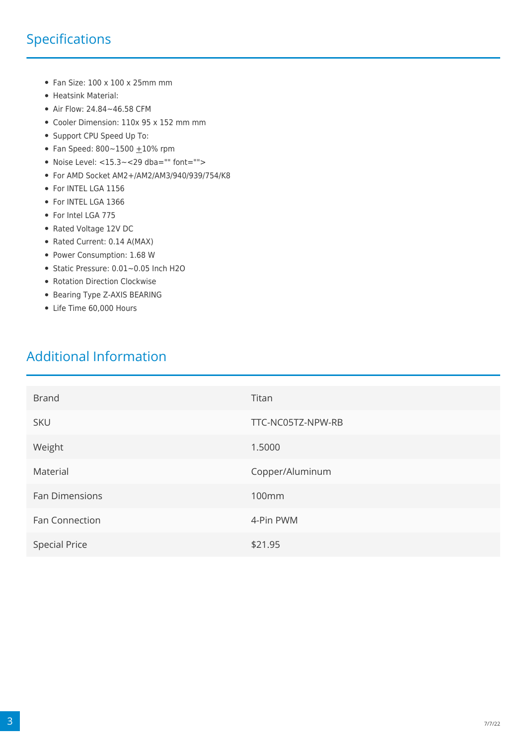## Specifications

- $\bullet$  Fan Size: 100 x 100 x 25mm mm
- Heatsink Material:
- Air Flow: 24.84~46.58 CFM
- Cooler Dimension: 110x 95 x 152 mm mm
- Support CPU Speed Up To:
- Fan Speed:  $800 1500 + 10\%$  rpm
- $\bullet$  Noise Level: <15.3~<29 dba="" font="">
- For AMD Socket AM2+/AM2/AM3/940/939/754/K8
- For INTEL LGA 1156
- For INTEL LGA 1366
- For Intel LGA 775
- Rated Voltage 12V DC
- Rated Current: 0.14 A(MAX)
- Power Consumption: 1.68 W
- Static Pressure: 0.01~0.05 Inch H2O
- Rotation Direction Clockwise
- Bearing Type Z-AXIS BEARING
- Life Time 60,000 Hours

#### Additional Information

| <b>Brand</b>         | Titan             |
|----------------------|-------------------|
| <b>SKU</b>           | TTC-NC05TZ-NPW-RB |
| Weight               | 1.5000            |
| Material             | Copper/Aluminum   |
| Fan Dimensions       | 100mm             |
| Fan Connection       | 4-Pin PWM         |
| <b>Special Price</b> | \$21.95           |